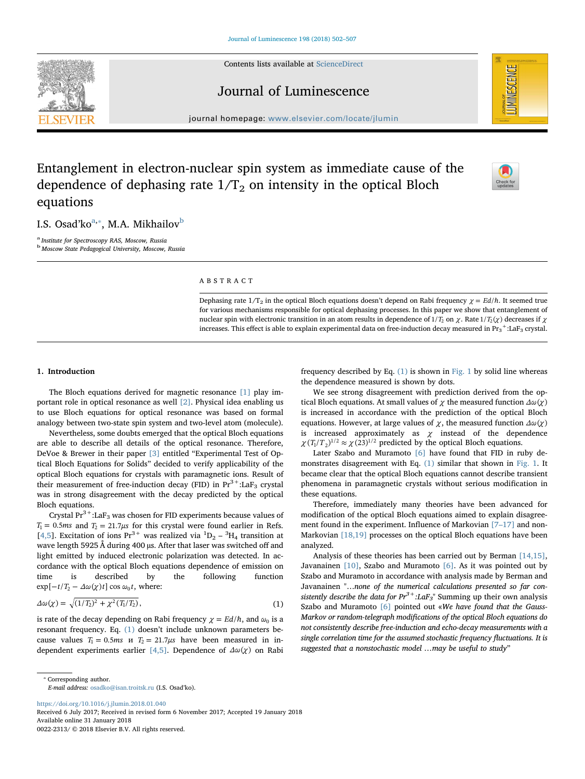Contents lists available at [ScienceDirect](http://www.sciencedirect.com/science/journal/00222313)





## Journal of Luminescence

journal homepage: [www.elsevier.com/locate/jlumin](https://www.elsevier.com/locate/jlumin)

# Entanglement in electron-nuclear spin system as immediate cause of the dependence of dephasing rate  $1/T_2$  on intensity in the optical Bloch equations



I.S. Os[a](#page-0-0)d'ko $\rm ^{a,*},$  M.A. Mikhailov $\rm ^{b}$  $\rm ^{b}$  $\rm ^{b}$ 

<span id="page-0-0"></span><sup>a</sup> Institute for Spectroscopy RAS, Moscow, Russia

<span id="page-0-2"></span><sup>b</sup> Moscow State Pedagogical University, Moscow, Russia

## ABSTRACT

Dephasing rate  $1/T_2$  in the optical Bloch equations doesn't depend on Rabi frequency  $\chi = Ed/\hbar$ . It seemed true for various mechanisms responsible for optical dephasing processes. In this paper we show that entanglement of nuclear spin with electronic transition in an atom results in dependence of  $1/T_2$  on  $\chi$ . Rate  $1/T_2(\chi)$  decreases if  $\chi$ increases. This effect is able to explain experimental data on free-induction decay measured in  ${\rm Pr}_3$   $^+$ :LaF $_3$  crystal.

## 1. Introduction

The Bloch equations derived for magnetic resonance [\[1\]](#page-5-0) play important role in optical resonance as well [\[2\]](#page-5-1). Physical idea enabling us to use Bloch equations for optical resonance was based on formal analogy between two-state spin system and two-level atom (molecule).

Nevertheless, some doubts emerged that the optical Bloch equations are able to describe all details of the optical resonance. Therefore, DeVoe & Brewer in their paper [\[3\]](#page-5-2) entitled "Experimental Test of Optical Bloch Equations for Solids" decided to verify applicability of the optical Bloch equations for crystals with paramagnetic ions. Result of their measurement of free-induction decay (FID) in  $Pr^{3+}$ :LaF<sub>3</sub> crystal was in strong disagreement with the decay predicted by the optical Bloch equations.

Crystal  $Pr^{3+}$ :La $F_3$  was chosen for FID experiments because values of  $T_1 = 0.5$ *ms* and  $T_2 = 21.7 \mu s$  for this crystal were found earlier in Refs. [[4,5](#page-5-3)]. Excitation of ions  $Pr^{3+}$  was realized via  ${}^{1}D_{2} - {}^{3}H_{4}$  transition at wave length 5925 Å during 400 µs. After that laser was switched off and light emitted by induced electronic polarization was detected. In accordance with the optical Bloch equations dependence of emission on time is described by the following function  $\exp[-t/T_2 - \Delta\omega(\chi)t] \cos \omega_0 t$ , where:

<span id="page-0-3"></span>
$$
\Delta \omega(\chi) = \sqrt{(1/T_2)^2 + \chi^2(T_1/T_2)},
$$
\n(1)

is rate of the decay depending on Rabi frequency  $\chi = Ed/\hbar$ , and  $\omega_0$  is a resonant frequency. Eq. [\(1\)](#page-0-3) doesn't include unknown parameters because values  $T_1 = 0.5ms$  *n*  $T_2 = 21.7 \mu s$  have been measured in in-dependent experiments earlier [\[4,5\]](#page-5-3). Dependence of  $\Delta\omega(\chi)$  on Rabi frequency described by Eq.  $(1)$  is shown in [Fig. 1](#page-1-0) by solid line whereas the dependence measured is shown by dots.

We see strong disagreement with prediction derived from the optical Bloch equations. At small values of  $\chi$  the measured function  $\Delta \omega(\chi)$ is increased in accordance with the prediction of the optical Bloch equations. However, at large values of  $\chi$ , the measured function  $\Delta\omega(\chi)$ is increased approximately as  $\chi$  instead of the dependence  $\chi (T_1/T_2)^{1/2} \approx \chi (23)^{1/2}$  predicted by the optical Bloch equations.

Later Szabo and Muramoto [\[6\]](#page-5-4) have found that FID in ruby demonstrates disagreement with Eq. [\(1\)](#page-0-3) similar that shown in [Fig. 1.](#page-1-0) It became clear that the optical Bloch equations cannot describe transient phenomena in paramagnetic crystals without serious modification in these equations.

Therefore, immediately many theories have been advanced for modification of the optical Bloch equations aimed to explain disagree-ment found in the experiment. Influence of Markovian [7–[17\]](#page-5-5) and non-Markovian [\[18,19\]](#page-5-6) processes on the optical Bloch equations have been analyzed.

Analysis of these theories has been carried out by Berman [\[14,15\]](#page-5-7), Javanainen [\[10\],](#page-5-8) Szabo and Muramoto [\[6\]](#page-5-4). As it was pointed out by Szabo and Muramoto in accordance with analysis made by Berman and Javanainen "…none of the numerical calculations presented so far consistently describe the data for  $Pr^{3+}$ :LaF<sub>3</sub>" Summing up their own analysis Szabo and Muramoto [\[6\]](#page-5-4) pointed out «We have found that the Gauss-Markov or random-telegraph modifications of the optical Bloch equations do not consistently describe free-induction and echo-decay measurements with a single correlation time for the assumed stochastic frequency fluctuations. It is suggested that a nonstochastic model …may be useful to study"

<https://doi.org/10.1016/j.jlumin.2018.01.040>

Received 6 July 2017; Received in revised form 6 November 2017; Accepted 19 January 2018 Available online 31 January 2018

0022-2313/ © 2018 Elsevier B.V. All rights reserved.

<span id="page-0-1"></span><sup>⁎</sup> Corresponding author. E-mail address: [osadko@isan.troitsk.ru](mailto:osadko@isan.troitsk.ru) (I.S. Osad'ko).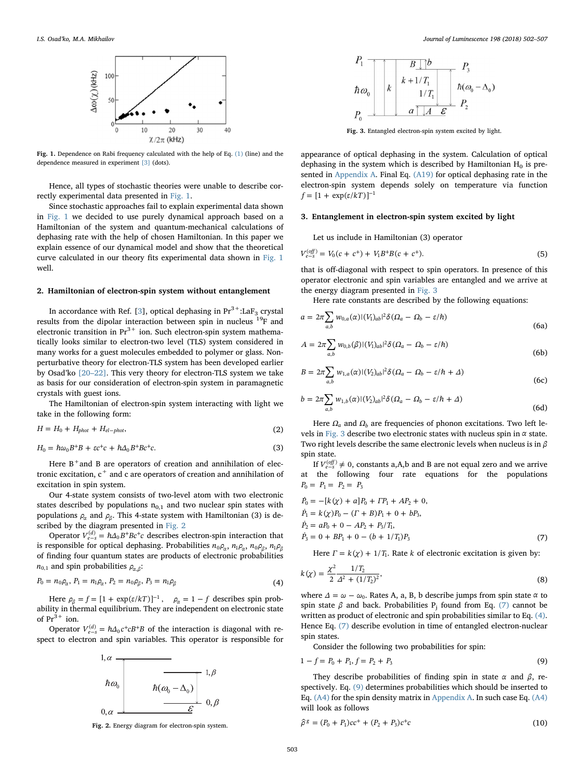<span id="page-1-0"></span>

Fig. 1. Dependence on Rabi frequency calculated with the help of Eq. [\(1\)](#page-0-3) (line) and the dependence measured in experiment [\[3\]](#page-5-2) (dots).

Hence, all types of stochastic theories were unable to describe correctly experimental data presented in [Fig. 1.](#page-1-0)

Since stochastic approaches fail to explain experimental data shown in [Fig. 1](#page-1-0) we decided to use purely dynamical approach based on a Hamiltonian of the system and quantum-mechanical calculations of dephasing rate with the help of chosen Hamiltonian. In this paper we explain essence of our dynamical model and show that the theoretical curve calculated in our theory fits experimental data shown in [Fig. 1](#page-1-0) well.

## 2. Hamiltonian of electron-spin system without entanglement

In accordance with Ref. [\[3\]](#page-5-2), optical dephasing in  $Pr^{3+}$ :LaF<sub>3</sub> crystal results from the dipolar interaction between spin in nucleus 19F and electronic transition in  $Pr<sup>3+</sup>$  ion. Such electron-spin system mathematically looks similar to electron-two level (TLS) system considered in many works for a guest molecules embedded to polymer or glass. Nonperturbative theory for electron-TLS system has been developed earlier by Osad'ko [\[20](#page-5-9)–22]. This very theory for electron-TLS system we take as basis for our consideration of electron-spin system in paramagnetic crystals with guest ions.

The Hamiltonian of electron-spin system interacting with light we take in the following form:

$$
H = H_0 + H_{phot} + H_{el-phot},\tag{2}
$$

$$
H_0 = \hbar \omega_0 B^+ B + \varepsilon c^+ c + \hbar \Delta_0 B^+ B c^+ c. \tag{3}
$$

Here  $B^+$  and B are operators of creation and annihilation of electronic excitation,  $c^+$  and c are operators of creation and annihilation of excitation in spin system.

Our 4-state system consists of two-level atom with two electronic states described by populations  $n_{0,1}$  and two nuclear spin states with populations  $\rho_{\alpha}$  and  $\rho_{\beta}$ . This 4-state system with Hamiltonian (3) is described by the diagram presented in [Fig. 2](#page-1-1)

Operator  $V_{e-s}^{(d)} = \hbar \Delta_0 B^+ B c^+ c$  describes electron-spin interaction that is responsible for optical dephasing. Probabilities  $n_0 \rho_\alpha$ ,  $n_1 \rho_\alpha$ ,  $n_0 \rho_\beta$ ,  $n_1 \rho_\beta$ of finding four quantum states are products of electronic probabilities  $n_{0,1}$  and spin probabilities  $\rho_{\alpha,\beta}$ :

<span id="page-1-4"></span>
$$
P_0 = n_0 \rho_\alpha, P_1 = n_1 \rho_\alpha, P_2 = n_0 \rho_\beta, P_3 = n_1 \rho_\beta \tag{4}
$$

Here  $\rho_{\beta} = f = [1 + \exp(\varepsilon / kT)]^{-1}$ ,  $\rho_{\alpha} = 1 - f$  describes spin probability in thermal equilibrium. They are independent on electronic state of  $Pr<sup>3+</sup>$  ion.

<span id="page-1-1"></span>Operator  $V_{e-s}^{(d)} = \hbar \Delta_0 c^+ c B^+ B$  of the interaction is diagonal with respect to electron and spin variables. This operator is responsible for



Fig. 2. Energy diagram for electron-spin system.

<span id="page-1-2"></span>

Fig. 3. Entangled electron-spin system excited by light.

appearance of optical dephasing in the system. Calculation of optical dephasing in the system which is described by Hamiltonian  $H_0$  is presented in [Appendix A.](#page-3-0) Final Eq. [\(A19\)](#page-4-0) for optical dephasing rate in the electron-spin system depends solely on temperature via function  $f = [1 + \exp(\varepsilon/kT)]^{-1}$ 

## 3. Entanglement in electron-spin system excited by light

Let us include in Hamiltonian (3) operator

$$
V_{e-s}^{(off)} = V_0(c + c^+) + V_1 B^+ B(c + c^+).
$$
\n(5)

that is off-diagonal with respect to spin operators. In presence of this operator electronic and spin variables are entangled and we arrive at the energy diagram presented in [Fig. 3](#page-1-2)

Here rate constants are described by the following equations:

$$
a = 2\pi \sum_{a,b} w_{0,a}(\alpha) |(V_1)_{ab}|^2 \delta(\Omega_a - \Omega_b - \varepsilon/\hbar)
$$
\n(6a)

$$
A = 2\pi \sum_{a,b} w_{0,b}(\beta) |(V_1)_{ab}|^2 \delta(\Omega_a - \Omega_b - \varepsilon/\hbar)
$$
\n(6b)

$$
B = 2\pi \sum_{a,b} w_{1,a}(\alpha) |(V_2)_{ab}|^2 \delta(\Omega_a - \Omega_b - \varepsilon/\hbar + \Delta)
$$
\n(6c)

$$
b = 2\pi \sum_{a,b} w_{1,b}(\alpha) |(V_2)_{ab}|^2 \delta(\Omega_a - \Omega_b - \varepsilon/\hbar + \Delta)
$$
\n(6d)

Here  $\Omega_a$  and  $\Omega_b$  are frequencies of phonon excitations. Two left levels in [Fig. 3](#page-1-2) describe two electronic states with nucleus spin in *α* state. Two right levels describe the same electronic levels when nucleus is in *β* spin state.

<span id="page-1-3"></span>If  $V_{e-s}^{(off)} \neq 0$ , constants a,A,b and B are not equal zero and we arrive at the following four rate equations for the populations  $P_0 = P_1 = P_2 = P_3$ 

$$
\dot{P}_0 = -[k(\chi) + a]P_0 + IP_1 + AP_2 + 0,\n\dot{P}_1 = k(\chi)P_0 - (\Gamma + B)P_1 + 0 + bP_3,\n\dot{P}_2 = aP_0 + 0 - AP_2 + P_3/T_1,\n\dot{P}_3 = 0 + BP_1 + 0 - (b + 1/T_1)P_3
$$
\n(7)

Here  $\Gamma = k(\chi) + 1/T_1$ . Rate *k* of electronic excitation is given by:

$$
k(\chi) = \frac{\chi^2}{2} \frac{1/T_2}{\Delta^2 + (1/T_2)^2},\tag{8}
$$

where  $\Delta = \omega - \omega_0$ . Rates A, a, B, b describe jumps from spin state  $\alpha$  to spin state *β* and back. Probabilities  $P_i$  found from Eq. [\(7\)](#page-1-3) cannot be written as product of electronic and spin probabilities similar to Eq. [\(4\)](#page-1-4). Hence Eq. [\(7\)](#page-1-3) describe evolution in time of entangled electron-nuclear spin states.

<span id="page-1-5"></span>Consider the following two probabilities for spin:

$$
1 - f = P_0 + P_1, f = P_2 + P_3 \tag{9}
$$

They describe probabilities of finding spin in state *α* and *β*, respectively. Eq. [\(9\)](#page-1-5) determines probabilities which should be inserted to Eq. [\(A4\)](#page-3-1) for the spin density matrix in [Appendix A.](#page-3-0) In such case Eq. [\(A4\)](#page-3-1) will look as follows

$$
\hat{\rho}^g = (P_0 + P_1)cc^+ + (P_2 + P_3)c^+c \tag{10}
$$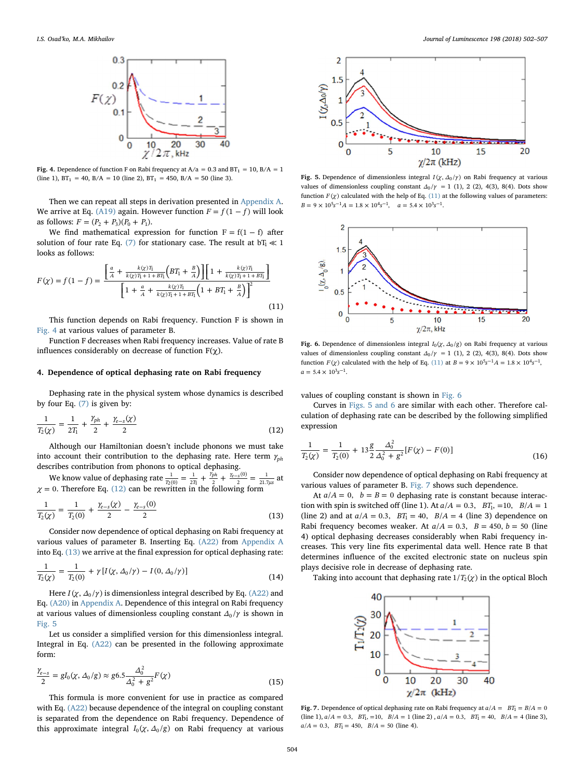<span id="page-2-0"></span>

**Fig. 4.** Dependence of function F on Rabi frequency at  $A/a = 0.3$  and  $BT_1 = 10$ ,  $B/A = 1$  (line 1),  $BT_1 = 40$ ,  $B/A = 10$  (line 2),  $BT_1 = 450$ ,  $B/A = 50$  (line 3).

Then we can repeat all steps in derivation presented in [Appendix A](#page-3-0). We arrive at Eq. [\(A19\)](#page-4-0) again. However function  $F = f(1 - f)$  will look as follows:  $F = (P_2 + P_3)(P_0 + P_1)$ .

<span id="page-2-6"></span>We find mathematical expression for function  $F = f(1 - f)$  after solution of four rate Eq. [\(7\)](#page-1-3) for stationary case. The result at  $bT_1 \ll 1$ looks as follows:

$$
F(\chi) = f(1-f) = \frac{\left[\frac{a}{A} + \frac{k(\chi)T_1}{k(\chi)T_1 + 1 + BT_1} \left(BT_1 + \frac{B}{A}\right)\right] \left[1 + \frac{k(\chi)T_1}{k(\chi)T_1 + 1 + BT_1}\right]}{\left[1 + \frac{a}{A} + \frac{k(\chi)T_1}{k(\chi)T_1 + 1 + BT_1} \left(1 + BT_1 + \frac{B}{A}\right)\right]^2}
$$
\n(11)

This function depends on Rabi frequency. Function F is shown in [Fig. 4](#page-2-0) at various values of parameter В.

Function F decreases when Rabi frequency increases. Value of rate B influences considerably on decrease of function  $F(\gamma)$ .

#### 4. Dependence of optical dephasing rate on Rabi frequency

<span id="page-2-1"></span>Dephasing rate in the physical system whose dynamics is described by four Eq. [\(7\)](#page-1-3) is given by:

$$
\frac{1}{T_2(\chi)} = \frac{1}{2T_1} + \frac{\gamma_{ph}}{2} + \frac{\gamma_{e-s}(\chi)}{2}
$$
\n(12)

Although our Hamiltonian doesn't include phonons we must take into account their contribution to the dephasing rate. Here term  $\gamma_{ph}$ describes contribution from phonons to optical dephasing.

<span id="page-2-2"></span>We know value of dephasing rate  $\frac{1}{T_2(0)} = \frac{1}{2T_1} + \frac{r_{pn}}{2} + \frac{r_{e-8}(0)}{2}$ *γ γ*  $\frac{1}{2(0)} = \frac{1}{2T_1} + \frac{\gamma_{ph}}{2} + \frac{\gamma_{e-s}(0)}{2} = \frac{1}{21.7\mu s}$ (0) We know value of dephasing rate  $\frac{1}{T_2(0)} = \frac{1}{2T_1} + \frac{\gamma_{ph}}{2} + \frac{\gamma_{e-5}(0)}{2} = \frac{1}{21.7\mu s}$  at  $\chi = 0$ . Therefore Eq. [\(12\)](#page-2-1) can be rewritten in the following form

$$
\frac{1}{T_2(\chi)} = \frac{1}{T_2(0)} + \frac{\gamma_{e-s}(\chi)}{2} - \frac{\gamma_{e-s}(0)}{2}
$$
\n(13)

Consider now dependence of optical dephasing on Rabi frequency at various values of parameter B. Inserting Eq. [\(A22\)](#page-4-1) from [Appendix A](#page-3-0) into Eq. [\(13\)](#page-2-2) we arrive at the final expression for optical dephasing rate:

$$
\frac{1}{T_2(\chi)} = \frac{1}{T_2(0)} + \gamma \left[ I(\chi, \Delta_0/\gamma) - I(0, \Delta_0/\gamma) \right] \tag{14}
$$

Here  $I(\chi, \Delta_0/\gamma)$  is dimensionless integral described by Eq. [\(A22\)](#page-4-1) and Eq. [\(A20\)](#page-4-2) in [Appendix A](#page-3-0). Dependence of this integral on Rabi frequency at various values of dimensionless coupling constant  $\Delta_0/\gamma$  is shown in [Fig. 5](#page-2-3)

Let us consider a simplified version for this dimensionless integral. Integral in Eq. [\(A22\)](#page-4-1) can be presented in the following approximate form:

$$
\frac{\gamma_{e-s}}{2} = gI_0(\chi, \Delta_0/g) \approx g6.5 \frac{\Delta_0^2}{\Delta_0^2 + g^2} F(\chi)
$$
\n(15)

This formula is more convenient for use in practice as compared with Eq. [\(A22\)](#page-4-1) because dependence of the integral on coupling constant is separated from the dependence on Rabi frequency. Dependence of this approximate integral  $I_0(\chi, \Delta_0/g)$  on Rabi frequency at various

<span id="page-2-3"></span>

**Fig. 5.** Dependence of dimensionless integral *I*(*χ*,  $\Delta$ <sub>0</sub>/*γ*) on Rabi frequency at various values of dimensionless coupling constant  $\Delta_0/\gamma = 1$  (1), 2 (2), 4(3), 8(4). Dots show function  $F(\chi)$  calculated with the help of Eq. [\(11\)](#page-2-6) at the following values of parameters:  $B = 9 \times 10^5 s^{-1} A = 1.8 \times 10^4 s^{-1}, \quad a = 5.4 \times 10^3 s^{-1}.$ 

<span id="page-2-4"></span>

Fig. 6. Dependence of dimensionless integral  $I_0(\chi, \Delta_0/g)$  on Rabi frequency at various values of dimensionless coupling constant  $\Delta_0/\gamma = 1$  (1), 2 (2), 4(3), 8(4). Dots show function *F*( $\chi$ ) calculated with the help of Eq. [\(11\)](#page-2-6) at *B* = 9 × 10<sup>5</sup>s<sup>-1</sup>A = 1.8 × 10<sup>4</sup>s<sup>-1</sup>,  $a = 5.4 \times 10^3 s^{-1}.$ 

values of coupling constant is shown in [Fig. 6](#page-2-4)

<span id="page-2-7"></span>Curves in [Figs. 5 and 6](#page-2-3) are similar with each other. Therefore calculation of dephasing rate can be described by the following simplified expression

$$
\frac{1}{T_2(\chi)} = \frac{1}{T_2(0)} + 13\frac{g}{2}\frac{\Delta_0^2}{\Delta_0^2 + g^2}[F(\chi) - F(0)]\tag{16}
$$

Consider now dependence of optical dephasing on Rabi frequency at various values of parameter B. [Fig. 7](#page-2-5) shows such dependence.

At  $a/A = 0$ ,  $b = B = 0$  dephasing rate is constant because interaction with spin is switched off (line 1). At  $a/A = 0.3$ ,  $BT_1$ , =10,  $B/A = 1$ (line 2) and at  $a/A = 0.3$ ,  $BT_1 = 40$ ,  $B/A = 4$  (line 3) dependence on Rabi frequency becomes weaker. At  $a/A = 0.3$ ,  $B = 450$ ,  $b = 50$  (line 4) optical dephasing decreases considerably when Rabi frequency increases. This very line fits experimental data well. Hence rate B that determines influence of the excited electronic state on nucleus spin plays decisive role in decrease of dephasing rate.

<span id="page-2-5"></span>Taking into account that dephasing rate  $1/T_2(\chi)$  in the optical Bloch



**Fig. 7.** Dependence of optical dephasing rate on Rabi frequency at  $a/A = BT_1 = B/A = 0$  $(line 1), a/A = 0.3, BT<sub>1</sub>, =10, B/A = 1 (line 2), a/A = 0.3, BT<sub>1</sub> = 40, B/A = 4 (line 3),$  $a/A = 0.3$ ,  $BT_1 = 450$ ,  $B/A = 50$  (line 4).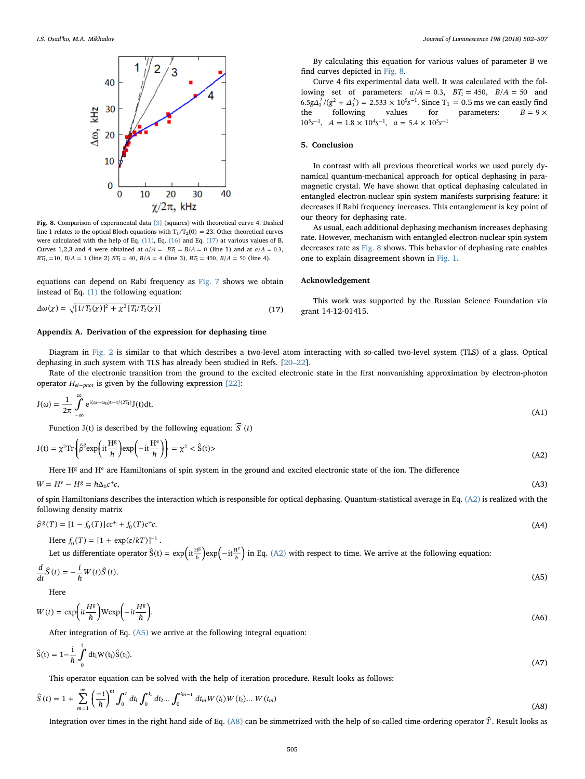<span id="page-3-2"></span>

Fig. 8. Comparison of experimental data [\[3\]](#page-5-2) (squares) with theoretical curve 4. Dashed line 1 relates to the optical Bloch equations with  $T_1/T_2(0) = 23$ . Other theoretical curves were calculated with the help of Eq. [\(11\),](#page-2-6) Eq. [\(16\)](#page-2-7) and Eq. [\(17\)](#page-3-6) at various values of B. Curves 1,2,3 and 4 were obtained at  $a/A = BT_1 = B/A = 0$  (line 1) and at  $a/A = 0.3$ , *BT*<sub>1</sub>, =10, *B*/*A* = 1 (line 2) *BT*<sub>1</sub> = 40, *B*/*A* = 4 (line 3), *BT*<sub>1</sub> = 450, *B*/*A* = 50 (line 4).

<span id="page-3-6"></span>equations can depend on Rabi frequency as [Fig. 7](#page-2-5) shows we obtain instead of Eq. [\(1\)](#page-0-3) the following equation:

$$
\Delta\omega(\chi) = \sqrt{[1/T_2(\chi)]^2 + \chi^2[T_1/T_2(\chi)]}\tag{17}
$$

## <span id="page-3-0"></span>Appendix A. Derivation of the expression for dephasing time

By calculating this equation for various values of parameter B we find curves depicted in [Fig. 8](#page-3-2).

Curve 4 fits experimental data well. It was calculated with the following set of parameters:  $a/A = 0.3$ ,  $BT_1 = 450$ ,  $B/A = 50$  and  $6.5 g\Delta_0^2/(g^2 + \Delta_0^2) = 2.533 \times 10^5 s^{-1}$ . Since T<sub>1</sub> = 0.5 ms we can easily find the following values for parameters:  $B = 9 \times$  $10^5 s^{-1}$ ,  $A = 1.8 \times 10^4 s^{-1}$ ,  $a = 5.4 \times 10^3 s^{-1}$ 

## 5. Conclusion

In contrast with all previous theoretical works we used purely dynamical quantum-mechanical approach for optical dephasing in paramagnetic crystal. We have shown that optical dephasing calculated in entangled electron-nuclear spin system manifests surprising feature: it decreases if Rabi frequency increases. This entanglement is key point of our theory for dephasing rate.

As usual, each additional dephasing mechanism increases dephasing rate. However, mechanism with entangled electron-nuclear spin system decreases rate as [Fig. 8](#page-3-2) shows. This behavior of dephasing rate enables one to explain disagreement shown in [Fig. 1](#page-1-0).

## Acknowledgement

This work was supported by the Russian Science Foundation via grant 14-12-01415.

Diagram in [Fig. 2](#page-1-1) is similar to that which describes a two-level atom interacting with so-called two-level system (TLS) of a glass. Optical dephasing in such system with TLS has already been studied in Refs. [\[20](#page-5-9)–22].

Rate of the electronic transition from the ground to the excited electronic state in the first nonvanishing approximation by electron-photon operator  $H_{el-phot}$  is given by the following expression [\[22\]](#page-5-10):

$$
J(\omega) = \frac{1}{2\pi} \int_{-\infty}^{\infty} e^{i(\omega - \omega_0)t - t/(2T_1)} J(t) dt,
$$
\n(A1)

<span id="page-3-3"></span>Function  $J(t)$  is described by the following equation:  $\widehat{S}(t)$ 

$$
J(t) = \chi^2 \text{Tr} \left\{ \hat{\rho}^g \exp\left(it \frac{H^g}{\hbar}\right) \exp\left(-it \frac{H^e}{\hbar}\right) \right\} = \chi^2 < \hat{S}(t) > \tag{A2}
$$

Here  $H<sup>g</sup>$  and  $H<sup>e</sup>$  are Hamiltonians of spin system in the ground and excited electronic state of the ion. The difference

 $W = H^e - H^g = \hbar \Delta_0 c^+ c$ , (A3)

<span id="page-3-1"></span>of spin Hamiltonians describes the interaction which is responsible for optical dephasing. Quantum-statistical average in Eq. [\(A2\)](#page-3-3) is realized with the following density matrix

$$
\hat{\rho}^g(T) = [1 - f_0(T)]cc^+ + f_0(T)c^+c. \tag{A4}
$$

<span id="page-3-4"></span>Here 
$$
f_0(T) = [1 + \exp(\varepsilon/kT)]^{-1}
$$
.

Let us differentiate operator  $\hat{S}(t) = \exp \left( i t \frac{H^g}{\hbar} \right) \exp \left( - i t \frac{H^e}{\hbar} \right)$  $\int_{\frac{1}{2}}^{\frac{g}{2}} \exp\left(-it\frac{H^e}{\hbar}\right)$  in Eq. [\(A2\)](#page-3-3) with respect to time. We arrive at the following equation:

$$
\frac{d}{dt}\hat{S}(t) = -\frac{i}{\hbar}W(t)\hat{S}(t),\tag{A5}
$$

Here

$$
W(t) = \exp\left(it\frac{H^g}{\hbar}\right)W\exp\left(-it\frac{H^g}{\hbar}\right). \tag{A6}
$$

After integration of Eq. [\(A5\)](#page-3-4) we arrive at the following integral equation:

$$
\hat{S}(t) = 1 - \frac{i}{\hbar} \int_{0}^{t} dt_{1} W(t_{1}) \hat{S}(t_{1}).
$$
\n(A7)

<span id="page-3-5"></span>This operator equation can be solved with the help of iteration procedure. Result looks as follows:

$$
\hat{S}(t) = 1 + \sum_{m=1}^{\infty} \left(\frac{-i}{\hbar}\right)^m \int_0^t dt_1 \int_0^{t_1} dt_2 \dots \int_0^{t_{m-1}} dt_m W(t_1) W(t_2) \dots W(t_m)
$$
\n(A8)

<span id="page-3-7"></span>Integration over times in the right hand side of Eq. [\(A8\)](#page-3-5) can be simmetrized with the help of so-called time-ordering operator  $\hat{T}$ . Result looks as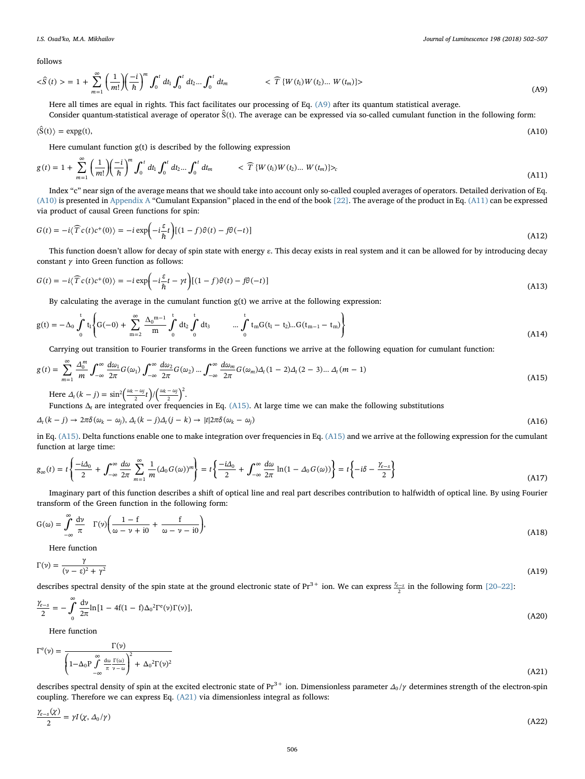follows

$$
\langle \hat{S}(t) \rangle = 1 + \sum_{m=1}^{\infty} \left( \frac{1}{m!} \right) \left( \frac{-i}{\hbar} \right)^m \int_0^t dt_1 \int_0^t dt_2 \dots \int_0^t dt_m \qquad \qquad \langle \widehat{T} \{ W(t_1) W(t_2) \dots W(t_m) \} \rangle
$$
\n(A9)

Here all times are equal in rights. This fact facilitates our processing of Eq. [\(A9\)](#page-3-7) after its quantum statistical average.

<span id="page-4-3"></span>Consider quantum-statistical average of operator  $\hat{S}(t)$ . The average can be expressed via so-called cumulant function in the following form:

$$
\langle \hat{S}(t) \rangle = \exp(g(t)), \tag{A10}
$$

<span id="page-4-4"></span>Here cumulant function  $g(t)$  is described by the following expression

$$
g(t) = 1 + \sum_{m=1}^{\infty} \left(\frac{1}{m!} \right) \left(\frac{-i}{\hbar}\right)^m \int_0^t dt_1 \int_0^t dt_2 \dots \int_0^t dt_m \qquad \qquad <\widehat{T}\left\{W(t_1)W(t_2)\dots W(t_m)\right\}_{\sim} \tag{A11}
$$

Index "c" near sign of the average means that we should take into account only so-called coupled averages of operators. Detailed derivation of Eq. [\(A10\)](#page-4-3) is presented in [Appendix A](#page-3-0) "Cumulant Expansion" placed in the end of the book [\[22\]](#page-5-10). The average of the product in Eq. [\(A11\)](#page-4-4) can be expressed via product of causal Green functions for spin:

$$
G(t) = -i\langle \widehat{T}c(t)c^{+}(0)\rangle = -i\exp\left(-i\frac{\varepsilon}{\hbar}t\right)[(1-f)\theta(t) - f\theta(-t)]
$$
\n(A12)

This function doesn't allow for decay of spin state with energy  $\varepsilon$ . This decay exists in real system and it can be allowed for by introducing decay constant *γ* into Green function as follows:

$$
G(t) = -i\langle \widehat{T}c(t)c^{+}(0)\rangle = -i\exp\left(-i\frac{\varepsilon}{\hbar}t - \gamma t\right)[(1-f)\theta(t) - f\theta(-t)]
$$
\n(A13)

By calculating the average in the cumulant function g(t) we arrive at the following expression:

$$
g(t) = -\Delta_0 \int_0^t t_1 \left\{ G(-0) + \sum_{m=2}^{\infty} \frac{\Delta_0^{m-1}}{m} \int_0^t dt_2 \int_0^t dt_3 \qquad \dots \int_0^t t_m G(t_1 - t_2) \dots G(t_{m-1} - t_m) \right\}
$$
(A14)

<span id="page-4-5"></span>Carrying out transition to Fourier transforms in the Green functions we arrive at the following equation for cumulant function:

$$
g(t) = \sum_{m=1}^{\infty} \frac{\Delta_0^m}{m} \int_{-\infty}^{\infty} \frac{d\omega_1}{2\pi} G(\omega_1) \int_{-\infty}^{\infty} \frac{d\omega_2}{2\pi} G(\omega_2) \dots \int_{-\infty}^{\infty} \frac{d\omega_m}{2\pi} G(\omega_m) \Delta_t (1-2) \Delta_t (2-3) \dots \Delta_t (m-1)
$$
\n(A15)

Here  $\Delta_t (k-j) = \sin^2 \left( \frac{\omega_k - \omega_j}{2} t \right) / \left( \frac{\omega_k - \omega_j}{2} \right)^2$ .

Functions  $\Delta_t$  are integrated over frequencies in Eq. [\(A15\).](#page-4-5) At large time we can make the following substitutions

$$
\Delta_t (k-j) \to 2\pi \delta(\omega_k - \omega_j), \Delta_t (k-j) \Delta_t (j-k) \to |t| 2\pi \delta(\omega_k - \omega_j)
$$
\n(A16)

in Eq. [\(A15\).](#page-4-5) Delta functions enable one to make integration over frequencies in Eq. [\(A15\)](#page-4-5) and we arrive at the following expression for the cumulant function at large time:

$$
g_{\infty}(t) = t \left\{ \frac{-i\Delta_0}{2} + \int_{-\infty}^{\infty} \frac{d\omega}{2\pi} \sum_{m=1}^{\infty} \frac{1}{m} (\Delta_0 G(\omega))^m \right\} = t \left\{ \frac{-i\Delta_0}{2} + \int_{-\infty}^{\infty} \frac{d\omega}{2\pi} \ln(1 - \Delta_0 G(\omega)) \right\} = t \left\{ -i\delta - \frac{\gamma_{e-5}}{2} \right\}
$$
(A17)

Imaginary part of this function describes a shift of optical line and real part describes contribution to halfwidth of optical line. By using Fourier transform of the Green function in the following form:

$$
G(\omega) = \int_{-\infty}^{\infty} \frac{dv}{\pi} \Gamma(\nu) \left( \frac{1 - f}{\omega - \nu + i0} + \frac{f}{\omega - \nu - i0} \right),\tag{A18}
$$

<span id="page-4-0"></span>Here function

$$
\Gamma(\nu) = \frac{\gamma}{(\nu - \varepsilon)^2 + \gamma^2} \tag{A19}
$$

<span id="page-4-2"></span>describes spectral density of the spin state at the ground electronic state of Pr<sup>3+</sup> ion. We can express  $\frac{\gamma_{e-s}}{2}$  in the following form [20–[22\]:](#page-5-9)

$$
\frac{\gamma_{e-s}}{2} = -\int_{0}^{\infty} \frac{dv}{2\pi} \ln[1 - 4f(1 - f)\Delta_0^2 \Gamma^e(v)\Gamma(v)],
$$
\n(A20)

<span id="page-4-6"></span>Here function

$$
\Gamma^{\rm e}(\nu) = \frac{\Gamma(\nu)}{\left(1 - \Delta_0 P \int_{-\infty}^{\infty} \frac{d\omega}{\pi} \frac{\Gamma(\omega)}{\nu - \omega}\right)^2 + \Delta_0^2 \Gamma(\nu)^2}
$$
(A21)

<span id="page-4-1"></span>describes spectral density of spin at the excited electronic state of Pr<sup>3+</sup> ion. Dimensionless parameter  $\Delta_0/\gamma$  determines strength of the electron-spin coupling. Therefore we can express Eq. [\(A21\)](#page-4-6) via dimensionless integral as follows:

$$
\frac{\gamma_{e-s}(\chi)}{2} = \gamma I(\chi, \Delta_0/\gamma) \tag{A22}
$$